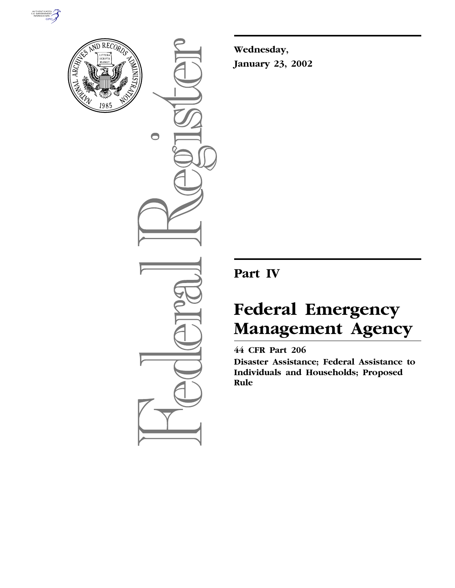



 $\bigcirc$ 

**Wednesday, January 23, 2002**

## **Part IV**

# **Federal Emergency Management Agency**

## **44 CFR Part 206**

**Disaster Assistance; Federal Assistance to Individuals and Households; Proposed Rule**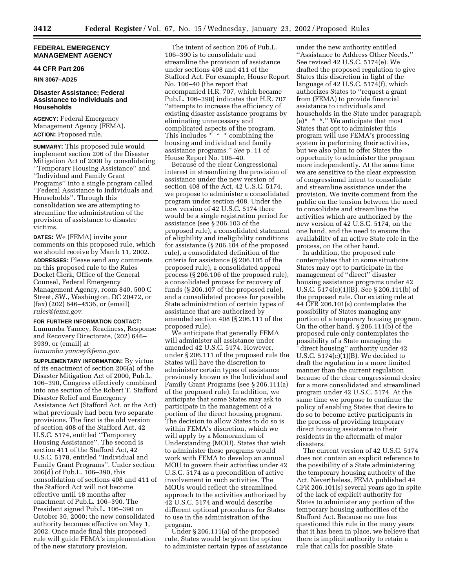#### **FEDERAL EMERGENCY MANAGEMENT AGENCY**

#### **44 CFR Part 206**

**RIN 3067–AD25**

#### **Disaster Assistance; Federal Assistance to Individuals and Households**

**AGENCY:** Federal Emergency Management Agency (FEMA). **ACTION:** Proposed rule.

**SUMMARY:** This proposed rule would implement section 206 of the Disaster Mitigation Act of 2000 by consolidating ''Temporary Housing Assistance'' and ''Individual and Family Grant Programs'' into a single program called ''Federal Assistance to Individuals and Households''. Through this consolidation we are attempting to streamline the administration of the provision of assistance to disaster victims.

**DATES:** We (FEMA) invite your comments on this proposed rule, which we should receive by March 11, 2002. **ADDRESSES:** Please send any comments on this proposed rule to the Rules Docket Clerk, Office of the General Counsel, Federal Emergency Management Agency, room 840, 500 C Street, SW., Washington, DC 20472, or (fax) (202) 646–4536, or (email) *rules@fema.gov.*

#### **FOR FURTHER INFORMATION CONTACT:**

Lumumba Yancey, Readiness, Response and Recovery Directorate, (202) 646– 3939, or (email) at

*lumumba.yancey@fema.gov.*

**SUPPLEMENTARY INFORMATION:** By virtue of its enactment of section 206(a) of the Disaster Mitigation Act of 2000, Pub.L. 106–390, Congress effectively combined into one section of the Robert T. Stafford Disaster Relief and Emergency Assistance Act (Stafford Act, or the Act) what previously had been two separate provisions. The first is the old version of section 408 of the Stafford Act, 42 U.S.C. 5174, entitled ''Temporary Housing Assistance''. The second is section 411 of the Stafford Act, 42 U.S.C. 5178, entitled ''Individual and Family Grant Programs''. Under section 206(d) of Pub.L. 106–390, this consolidation of sections 408 and 411 of the Stafford Act will not become effective until 18 months after enactment of Pub.L. 106–390. The President signed Pub.L. 106–390 on October 30, 2000; the new consolidated authority becomes effective on May 1, 2002. Once made final this proposed rule will guide FEMA's implementation of the new statutory provision.

The intent of section 206 of Pub.L. 106–390 is to consolidate and streamline the provision of assistance under sections 408 and 411 of the Stafford Act. For example, House Report No. 106–40 (the report that accompanied H.R. 707, which became Pub.L. 106–390) indicates that H.R. 707 ''attempts to increase the efficiency of existing disaster assistance programs by eliminating unnecessary and complicated aspects of the program. This includes  $* * *$  combining the housing and individual and family assistance programs.'' *See* p. 11 of House Report No. 106–40.

Because of the clear Congressional interest in streamlining the provision of assistance under the new version of section 408 of the Act, 42 U.S.C. 5174, we propose to administer a consolidated program under section 408. Under the new version of 42 U.S.C. 5174 there would be a single registration period for assistance (see § 206.103 of the proposed rule), a consolidated statement of eligibility and ineligibility conditions for assistance (§ 206.104 of the proposed rule), a consolidated definition of the criteria for assistance (§ 206.105 of the proposed rule), a consolidated appeal process (§ 206.106 of the proposed rule), a consolidated process for recovery of funds (§ 206.107 of the proposed rule), and a consolidated process for possible State administration of certain types of assistance that are authorized by amended section 408 (§ 206.111 of the proposed rule).

We anticipate that generally FEMA will administer all assistance under amended 42 U.S.C. 5174. However, under § 206.111 of the proposed rule the States will have the discretion to administer certain types of assistance previously known as the Individual and Family Grant Programs (see § 206.111(a) of the proposed rule). In addition, we anticipate that some States may ask to participate in the management of a portion of the direct housing program. The decision to allow States to do so is within FEMA's discretion, which we will apply by a Memorandum of Understanding (MOU). States that wish to administer these programs would work with FEMA to develop an annual MOU to govern their activities under 42 U.S.C. 5174 as a precondition of active involvement in such activities. The MOUs would reflect the streamlined approach to the activities authorized by 42 U.S.C. 5174 and would describe different optional procedures for States to use in the administration of the program.

Under § 206.111(a) of the proposed rule, States would be given the option to administer certain types of assistance

under the new authority entitled ''Assistance to Address Other Needs.'' See revised 42 U.S.C. 5174(e). We drafted the proposed regulation to give States this discretion in light of the language of 42 U.S.C. 5174(f), which authorizes States to ''request a grant from (FEMA) to provide financial assistance to individuals and households in the State under paragraph (e)\* \* \*.'' We anticipate that most States that opt to administer this program will use FEMA's processing system in performing their activities, but we also plan to offer States the opportunity to administer the program more independently. At the same time we are sensitive to the clear expression of congressional intent to consolidate and streamline assistance under the provision. We invite comment from the public on the tension between the need to consolidate and streamline the activities which are authorized by the new version of 42 U.S.C. 5174, on the one hand, and the need to ensure the availability of an active State role in the process, on the other hand.

In addition, the proposed rule contemplates that in some situations States may opt to participate in the management of ''direct'' disaster housing assistance programs under 42 U.S.C. 5174(c)(1)(B). See § 206.111(b) of the proposed rule. Our existing rule at 44 CFR 206.101(s) contemplates the possibility of States managing any portion of a temporary housing program. On the other hand, § 206.111(b) of the proposed rule only contemplates the possibility of a State managing the ''direct housing'' authority under 42 U.S.C. 5174(c)(1)(B). We decided to draft the regulation in a more limited manner than the current regulation because of the clear congressional desire for a more consolidated and streamlined program under 42 U.S.C. 5174. At the same time we propose to continue the policy of enabling States that desire to do so to become active participants in the process of providing temporary direct housing assistance to their residents in the aftermath of major disasters.

The current version of 42 U.S.C. 5174 does not contain an explicit reference to the possibility of a State administering the temporary housing authority of the Act. Nevertheless, FEMA published 44 CFR 206.101(s) several years ago in spite of the lack of explicit authority for States to administer any portion of the temporary housing authorities of the Stafford Act. Because no one has questioned this rule in the many years that it has been in place, we believe that there is implicit authority to retain a rule that calls for possible State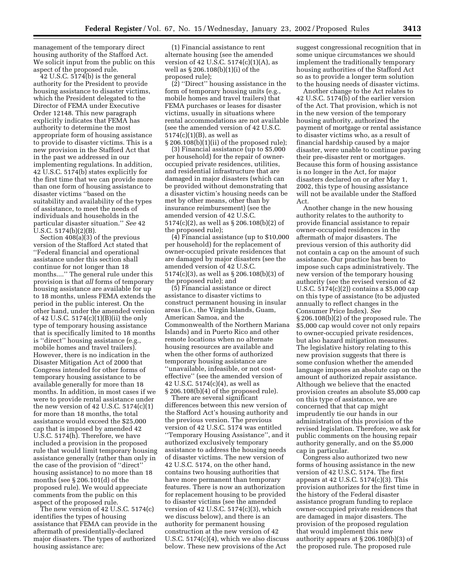management of the temporary direct housing authority of the Stafford Act. We solicit input from the public on this aspect of the proposed rule.

 $42$  U.S.C.  $5174(b)$  is the general authority for the President to provide housing assistance to disaster victims, which the President delegated to the Director of FEMA under Executive Order 12148. This new paragraph explicitly indicates that FEMA has authority to determine the most appropriate form of housing assistance to provide to disaster victims. This is a new provision in the Stafford Act that in the past we addressed in our implementing regulations. In addition, 42 U.S.C. 5174(b) states explicitly for the first time that we can provide more than one form of housing assistance to disaster victims ''based on the suitability and availability of the types of assistance, to meet the needs of individuals and households in the particular disaster situation.'' *See* 42 U.S.C. 5174(b)(2)(B).

Section 408(a)(3) of the previous version of the Stafford Act stated that ''Federal financial and operational assistance under this section shall continue for not longer than 18 months....'' The general rule under this provision is that *all* forms of temporary housing assistance are available for up to 18 months, unless FEMA extends the period in the public interest. On the other hand, under the amended version of 42 U.S.C. 5174(c)(1)(B)(ii) the only type of temporary housing assistance that is specifically limited to 18 months is ''direct'' housing assistance (e.g., mobile homes and travel trailers). However, there is no indication in the Disaster Mitigation Act of 2000 that Congress intended for other forms of temporary housing assistance to be available generally for more than 18 months. In addition, in most cases if we were to provide rental assistance under the new version of 42 U.S.C.  $5174(c)(1)$ for more than 18 months, the total assistance would exceed the \$25,000 cap that is imposed by amended 42 U.S.C. 5174(h). Therefore, we have included a provision in the proposed rule that would limit temporary housing assistance generally (rather than only in the case of the provision of ''direct'' housing assistance) to no more than 18 months (see § 206.101(d) of the proposed rule). We would appreciate comments from the public on this aspect of the proposed rule.

The new version of 42 U.S.C. 5174(c) identifies the types of housing assistance that FEMA can provide in the aftermath of presidentially-declared major disasters. The types of authorized housing assistance are:

(1) Financial assistance to rent alternate housing (see the amended version of 42 U.S.C.  $5174(c)(1)(A)$ , as well as § 206.108(b)(1)(i) of the proposed rule);

(2) ''Direct'' housing assistance in the form of temporary housing units (e.g., mobile homes and travel trailers) that FEMA purchases or leases for disaster victims, usually in situations where rental accommodations are not available (see the amended version of 42 U.S.C.  $5174(c)(1)(B)$ , as well as § 206.108(b)(1)(ii) of the proposed rule);

(3) Financial assistance (up to \$5,000 per household) for the repair of owneroccupied private residences, utilities, and residential infrastructure that are damaged in major disasters (which can be provided without demonstrating that a disaster victim's housing needs can be met by other means, other than by insurance reimbursement) (see the amended version of 42 U.S.C. 5174(c)(2), as well as § 206.108(b)(2) of the proposed rule);

(4) Financial assistance (up to \$10,000 per household) for the replacement of owner-occupied private residences that are damaged by major disasters (see the amended version of 42 U.S.C. 5174(c)(3), as well as § 206.108(b)(3) of the proposed rule); and

(5) Financial assistance or direct assistance to disaster victims to construct permanent housing in insular areas (i.e., the Virgin Islands, Guam, American Samoa, and the Commonwealth of the Northern Mariana Islands) and in Puerto Rico and other remote locations when no alternate housing resources are available and when the other forms of authorized temporary housing assistance are ''unavailable, infeasible, or not costeffective'' (see the amended version of 42 U.S.C. 5174(c)(4), as well as § 206.108(b)(4) of the proposed rule).

There are several significant differences between this new version of the Stafford Act's housing authority and the previous version. The previous version of 42 U.S.C. 5174 was entitled ''Temporary Housing Assistance'', and it authorized exclusively temporary assistance to address the housing needs of disaster victims. The new version of 42 U.S.C. 5174, on the other hand, contains two housing authorities that have more permanent than temporary features. There is now an authorization for replacement housing to be provided to disaster victims (see the amended version of 42 U.S.C. 5174(c)(3), which we discuss below), and there is an authority for permanent housing construction at the new version of 42 U.S.C. 5174(c)(4), which we also discuss below. These new provisions of the Act

suggest congressional recognition that in some unique circumstances we should implement the traditionally temporary housing authorities of the Stafford Act so as to provide a longer term solution to the housing needs of disaster victims.

Another change to the Act relates to 42 U.S.C. 5174(b) of the earlier version of the Act. That provision, which is not in the new version of the temporary housing authority, authorized the payment of mortgage or rental assistance to disaster victims who, as a result of financial hardship caused by a major disaster, were unable to continue paying their pre-disaster rent or mortgages. Because this form of housing assistance is no longer in the Act, for major disasters declared on or after May 1, 2002, this type of housing assistance will not be available under the Stafford Act.

Another change in the new housing authority relates to the authority to provide financial assistance to repair owner-occupied residences in the aftermath of major disasters. The previous version of this authority did not contain a cap on the amount of such assistance. Our practice has been to impose such caps administratively. The new version of the temporary housing authority (see the revised version of 42 U.S.C. 5174(c)(2)) contains a \$5,000 cap on this type of assistance (to be adjusted annually to reflect changes in the Consumer Price Index). *See* § 206.108(b)(2) of the proposed rule. The \$5,000 cap would cover not only repairs to owner-occupied private residences, but also hazard mitigation measures. The legislative history relating to this new provision suggests that there is some confusion whether the amended language imposes an absolute cap on the amount of authorized repair assistance. Although we believe that the enacted provision creates an absolute \$5,000 cap on this type of assistance, we are concerned that that cap might imprudently tie our hands in our administration of this provision of the revised legislation. Therefore, we ask for public comments on the housing repair authority generally, and on the \$5,000 cap in particular.

Congress also authorized two new forms of housing assistance in the new version of 42 U.S.C. 5174. The first appears at 42 U.S.C. 5174(c)(3). This provision authorizes for the first time in the history of the Federal disaster assistance program funding to replace owner-occupied private residences that are damaged in major disasters. The provision of the proposed regulation that would implement this new authority appears at § 206.108(b)(3) of the proposed rule. The proposed rule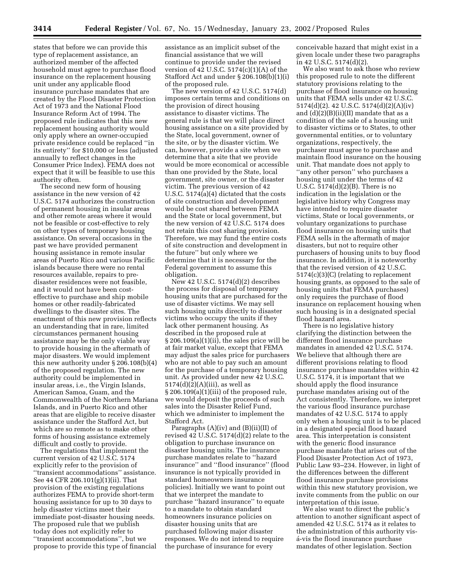states that before we can provide this type of replacement assistance, an authorized member of the affected household must agree to purchase flood insurance on the replacement housing unit under any applicable flood insurance purchase mandates that are created by the Flood Disaster Protection Act of 1973 and the National Flood Insurance Reform Act of 1994. The proposed rule indicates that this new replacement housing authority would only apply where an owner-occupied private residence could be replaced ''in its entirety'' for \$10,000 or less (adjusted annually to reflect changes in the Consumer Price Index). FEMA does not expect that it will be feasible to use this authority often.

The second new form of housing assistance in the new version of 42 U.S.C. 5174 authorizes the construction of permanent housing in insular areas and other remote areas where it would not be feasible or cost-effective to rely on other types of temporary housing assistance. On several occasions in the past we have provided permanent housing assistance in remote insular areas of Puerto Rico and various Pacific islands because there were no rental resources available, repairs to predisaster residences were not feasible, and it would not have been costeffective to purchase and ship mobile homes or other readily-fabricated dwellings to the disaster sites. The enactment of this new provision reflects an understanding that in rare, limited circumstances permanent housing assistance may be the only viable way to provide housing in the aftermath of major disasters. We would implement this new authority under § 206.108(b)(4) of the proposed regulation. The new authority could be implemented in insular areas, i.e., the Virgin Islands, American Samoa, Guam, and the Commonwealth of the Northern Mariana Islands, and in Puerto Rico and other areas that are eligible to receive disaster assistance under the Stafford Act, but which are so remote as to make other forms of housing assistance extremely difficult and costly to provide.

The regulations that implement the current version of 42 U.S.C. 5174 explicitly refer to the provision of ''transient accommodations'' assistance. See 44 CFR 206.101(g)(1)(ii). That provision of the existing regulations authorizes FEMA to provide short-term housing assistance for up to 30 days to help disaster victims meet their immediate post-disaster housing needs. The proposed rule that we publish today does not explicitly refer to ''transient accommodations'', but we propose to provide this type of financial

assistance as an implicit subset of the financial assistance that we will continue to provide under the revised version of 42 U.S.C.  $5174(c)(1)(A)$  of the Stafford Act and under § 206.108(b)(1)(i) of the proposed rule.

The new version of 42 U.S.C. 5174(d) imposes certain terms and conditions on the provision of direct housing assistance to disaster victims. The general rule is that we will place direct housing assistance on a site provided by the State, local government, owner of the site, or by the disaster victim. We can, however, provide a site when we determine that a site that we provide would be more economical or accessible than one provided by the State, local government, site owner, or the disaster victim. The previous version of 42 U.S.C. 5174(a)(4) dictated that the costs of site construction and development would be cost shared between FEMA and the State or local government, but the new version of 42 U.S.C. 5174 does not retain this cost sharing provision. Therefore, we may fund the entire costs of site construction and development in the future'' but only where we determine that it is necessary for the Federal government to assume this obligation.

New 42 U.S.C. 5174(d)(2) describes the process for disposal of temporary housing units that are purchased for the use of disaster victims. We may sell such housing units directly to disaster victims who occupy the units if they lack other permanent housing. As described in the proposed rule at § 206.109(a)(1)(ii), the sales price will be at fair market value, except that FEMA may adjust the sales price for purchasers who are not able to pay such an amount for the purchase of a temporary housing unit. As provided under new 42 U.S.C.  $5174(d)(2)(A)(iii)$ , as well as § 206.109(a)(1)(iii) of the proposed rule, we would deposit the proceeds of such sales into the Disaster Relief Fund, which we administer to implement the Stafford Act.

Paragraphs  $(A)(iv)$  and  $(B)(ii)(II)$  of revised 42 U.S.C. 5174(d)(2) relate to the obligation to purchase insurance on disaster housing units. The insurance purchase mandates relate to ''hazard insurance'' and ''flood insurance'' (flood insurance is not typically provided in standard homeowners insurance policies). Initially we want to point out that we interpret the mandate to purchase ''hazard insurance'' to equate to a mandate to obtain standard homeowners insurance policies on disaster housing units that are purchased following major disaster responses. We do not intend to require the purchase of insurance for every

conceivable hazard that might exist in a given locale under these two paragraphs in 42 U.S.C. 5174(d)(2).

We also want to ask those who review this proposed rule to note the different statutory provisions relating to the purchase of flood insurance on housing units that FEMA sells under 42 U.S.C. 5174(d)(2). 42 U.S.C. 5174(d)(2)(A)(iv) and  $(d)(2)(B)(ii)(II)$  mandate that as a condition of the sale of a housing unit to disaster victims or to States, to other governmental entities, or to voluntary organizations, respectively, the purchaser must agree to purchase and maintain flood insurance on the housing unit. That mandate does not apply to ''any other person'' who purchases a housing unit under the terms of 42 U.S.C. 5174(d)(2)(B). There is no indication in the legislation or the legislative history why Congress may have intended to require disaster victims, State or local governments, or voluntary organizations to purchase flood insurance on housing units that FEMA sells in the aftermath of major disasters, but not to require other purchasers of housing units to buy flood insurance. In addition, it is noteworthy that the revised version of 42 U.S.C. 5174(c)(3)(C) (relating to replacement housing grants, as opposed to the sale of housing units that FEMA purchases) only requires the purchase of flood insurance on replacement housing when such housing is in a designated special flood hazard area.

There is no legislative history clarifying the distinction between the different flood insurance purchase mandates in amended 42 U.S.C. 5174. We believe that although there are different provisions relating to flood insurance purchase mandates within 42 U.S.C. 5174, it is important that we should apply the flood insurance purchase mandates arising out of the Act consistently. Therefore, we interpret the various flood insurance purchase mandates of 42 U.S.C. 5174 to apply only when a housing unit is to be placed in a designated special flood hazard area. This interpretation is consistent with the generic flood insurance purchase mandate that arises out of the Flood Disaster Protection Act of 1973, Public Law 93–234. However, in light of the differences between the different flood insurance purchase provisions within this new statutory provision, we invite comments from the public on our interpretation of this issue.

We also want to direct the public's attention to another significant aspect of amended 42 U.S.C. 5174 as it relates to the administration of this authority visa´-vis the flood insurance purchase mandates of other legislation. Section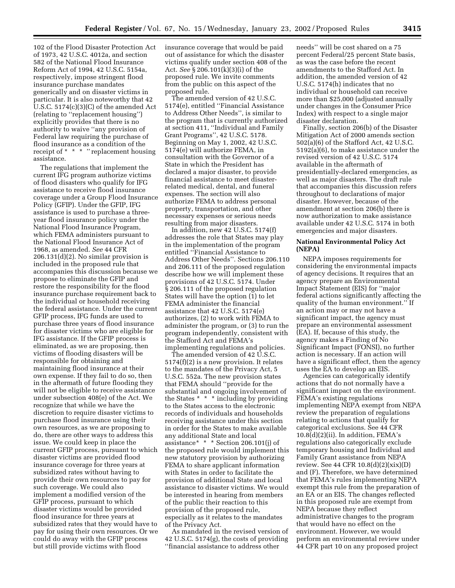102 of the Flood Disaster Protection Act of 1973, 42 U.S.C. 4012a, and section 582 of the National Flood Insurance Reform Act of 1994, 42 U.S.C. 5154a, respectively, impose stringent flood insurance purchase mandates generically and on disaster victims in particular. It is also noteworthy that 42 U.S.C. 5174(c)(3)(C) of the amended Act (relating to ''replacement housing'') explicitly provides that there is no authority to waive ''any provision of Federal law requiring the purchase of flood insurance as a condition of the receipt of \* \* \* ''replacement housing assistance.

The regulations that implement the current IFG program authorize victims of flood disasters who qualify for IFG assistance to receive flood insurance coverage under a Group Flood Insurance Policy (GFIP). Under the GFIP, IFG assistance is used to purchase a threeyear flood insurance policy under the National Flood Insurance Program, which FEMA administers pursuant to the National Flood Insurance Act of 1968, as amended. *See* 44 CFR 206.131(d)(2). No similar provision is included in the proposed rule that accompanies this discussion because we propose to eliminate the GFIP and restore the responsibility for the flood insurance purchase requirement back to the individual or household receiving the federal assistance. Under the current GFIP process, IFG funds are used to purchase three years of flood insurance for disaster victims who are eligible for IFG assistance. If the GFIP process is eliminated, as we are proposing, then victims of flooding disasters will be responsible for obtaining and maintaining flood insurance at their own expense. If they fail to do so, then in the aftermath of future flooding they will not be eligible to receive assistance under subsection 408(e) of the Act. We recognize that while we have the discretion to require disaster victims to purchase flood insurance using their own resources, as we are proposing to do, there are other ways to address this issue. We could keep in place the current GFIP process, pursuant to which disaster victims are provided flood insurance coverage for three years at subsidized rates without having to provide their own resources to pay for such coverage. We could also implement a modified version of the GFIP process, pursuant to which disaster victims would be provided flood insurance for three years at subsidized rates that they would have to pay for using their own resources. Or we could do away with the GFIP process but still provide victims with flood

insurance coverage that would be paid out of assistance for which the disaster victims qualify under section 408 of the Act. *See* § 206.101(k)(3)(i) of the proposed rule. We invite comments from the public on this aspect of the proposed rule.

The amended version of 42 U.S.C. 5174(e), entitled ''Financial Assistance to Address Other Needs'', is similar to the program that is currently authorized at section 411, ''Individual and Family Grant Programs'', 42 U.S.C. 5178. Beginning on May 1, 2002, 42 U.S.C. 5174(e) will authorize FEMA, in consultation with the Governor of a State in which the President has declared a major disaster, to provide financial assistance to meet disasterrelated medical, dental, and funeral expenses. The section will also authorize FEMA to address personal property, transportation, and other necessary expenses or serious needs resulting from major disasters.

In addition, new 42 U.S.C. 5174(f) addresses the role that States may play in the implementation of the program entitled ''Financial Assistance to Address Other Needs''. Sections 206.110 and 206.111 of the proposed regulation describe how we will implement these provisions of 42 U.S.C. 5174. Under § 206.111 of the proposed regulation States will have the option (1) to let FEMA administer the financial assistance that 42 U.S.C. 5174(e) authorizes, (2) to work with FEMA to administer the program, or (3) to run the program independently, consistent with the Stafford Act and FEMA's implementing regulations and policies.

The amended version of 42 U.S.C. 5174(f)(2) is a new provision. It relates to the mandates of the Privacy Act, 5 U.S.C. 552a. The new provision states that FEMA should ''provide for the substantial and ongoing involvement of the States \* \* \* including by providing to the States access to the electronic records of individuals and households receiving assistance under this section in order for the States to make available any additional State and local assistance\* \* \* Section 206.101(j) of the proposed rule would implement this new statutory provision by authorizing FEMA to share applicant information with States in order to facilitate the provision of additional State and local assistance to disaster victims. We would be interested in hearing from members of the public their reaction to this provision of the proposed rule, especially as it relates to the mandates of the Privacy Act.

As mandated in the revised version of 42 U.S.C. 5174(g), the costs of providing ''financial assistance to address other

needs'' will be cost shared on a 75 percent Federal/25 percent State basis, as was the case before the recent amendments to the Stafford Act. In addition, the amended version of 42 U.S.C. 5174(h) indicates that no individual or household can receive more than \$25,000 (adjusted annually under changes in the Consumer Price Index) with respect to a single major disaster declaration.

Finally, section 206(b) of the Disaster Mitigation Act of 2000 amends section 502(a)(6) of the Stafford Act, 42 U.S.C. 5192(a)(6), to make assistance under the revised version of 42 U.S.C. 5174 available in the aftermath of presidentially-declared emergencies, as well as major disasters. The draft rule that accompanies this discussion refers throughout to declarations of major disaster. However, because of the amendment at section 206(b) there is now authorization to make assistance available under 42 U.S.C. 5174 in both emergencies and major disasters.

#### **National Environmental Policy Act (NEPA)**

NEPA imposes requirements for considering the environmental impacts of agency decisions. It requires that an agency prepare an Environmental Impact Statement (EIS) for ''major federal actions significantly affecting the quality of the human environment.'' If an action may or may not have a significant impact, the agency must prepare an environmental assessment (EA). If, because of this study, the agency makes a Finding of No Significant Impact (FONSI), no further action is necessary. If an action will have a significant effect, then the agency uses the EA to develop an EIS.

Agencies can categorically identify actions that do not normally have a significant impact on the environment. FEMA's existing regulations implementing NEPA exempt from NEPA review the preparation of regulations relating to actions that qualify for categorical exclusions. See 44 CFR  $10.8(d)(2)(ii)$ . In addition, FEMA's regulations also categorically exclude temporary housing and Individual and Family Grant assistance from NEPA review. See 44 CFR 10.8(d)(2)(xix)(D) and (F). Therefore, we have determined that FEMA's rules implementing NEPA exempt this rule from the preparation of an EA or an EIS. The changes reflected in this proposed rule are exempt from NEPA because they reflect administrative changes to the program that would have no effect on the environment. However, we would perform an environmental review under 44 CFR part 10 on any proposed project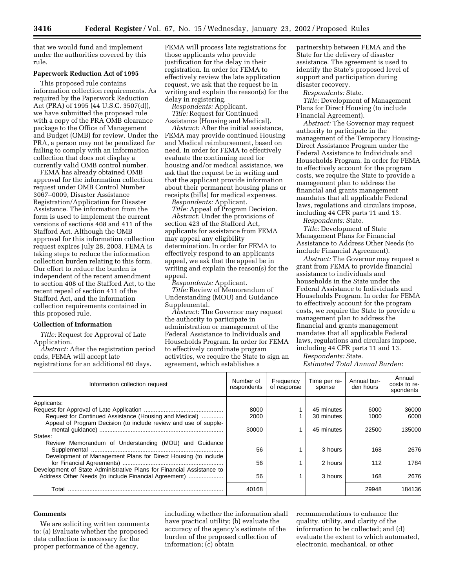that we would fund and implement under the authorities covered by this rule.

#### **Paperwork Reduction Act of 1995**

This proposed rule contains information collection requirements. As required by the Paperwork Reduction Act (PRA) of 1995 (44 U.S.C. 3507(d)), we have submitted the proposed rule with a copy of the PRA OMB clearance package to the Office of Management and Budget (OMB) for review. Under the PRA, a person may not be penalized for failing to comply with an information collection that does not display a currently valid OMB control number.

FEMA has already obtained OMB approval for the information collection request under OMB Control Number 3067–0009, Disaster Assistance Registration/Application for Disaster Assistance. The information from the form is used to implement the current versions of sections 408 and 411 of the Stafford Act. Although the OMB approval for this information collection request expires July 28, 2003, FEMA is taking steps to reduce the information collection burden relating to this form. Our effort to reduce the burden is independent of the recent amendment to section 408 of the Stafford Act, to the recent repeal of section 411 of the Stafford Act, and the information collection requirements contained in this proposed rule.

#### **Collection of Information**

*Title:* Request for Approval of Late Application.

*Abstract:* After the registration period ends, FEMA will accept late registrations for an additional 60 days.

FEMA will process late registrations for those applicants who provide justification for the delay in their registration. In order for FEMA to effectively review the late application request, we ask that the request be in writing and explain the reason(s) for the delay in registering.

*Respondents:* Applicant.

*Title:* Request for Continued Assistance (Housing and Medical).

*Abstract:* After the initial assistance, FEMA may provide continued Housing and Medical reimbursement, based on need. In order for FEMA to effectively evaluate the continuing need for housing and/or medical assistance, we ask that the request be in writing and that the applicant provide information about their permanent housing plans or receipts (bills) for medical expenses.

*Respondents:* Applicant. *Title:* Appeal of Program Decision.

*Abstract:* Under the provisions of section 423 of the Stafford Act, applicants for assistance from FEMA may appeal any eligibility determination. In order for FEMA to effectively respond to an applicants appeal, we ask that the appeal be in writing and explain the reason(s) for the appeal.

*Respondents:* Applicant.

*Title:* Review of Memorandum of Understanding (MOU) and Guidance Supplemental.

*Abstract:* The Governor may request the authority to participate in administration or management of the Federal Assistance to Individuals and Households Program. In order for FEMA to effectively coordinate program activities, we require the State to sign an agreement, which establishes a

partnership between FEMA and the State for the delivery of disaster assistance. The agreement is used to identify the State's proposed level of support and participation during disaster recovery.

*Respondents:* State.

*Title:* Development of Management Plans for Direct Housing (to include Financial Agreement).

*Abstract:* The Governor may request authority to participate in the management of the Temporary Housing-Direct Assistance Program under the Federal Assistance to Individuals and Households Program. In order for FEMA to effectively account for the program costs, we require the State to provide a management plan to address the financial and grants management mandates that all applicable Federal laws, regulations and circulars impose, including 44 CFR parts 11 and 13.

*Respondents:* State.

*Title:* Development of State Management Plans for Financial Assistance to Address Other Needs (to include Financial Agreement).

*Abstract:* The Governor may request a grant from FEMA to provide financial assistance to individuals and households in the State under the Federal Assistance to Individuals and Households Program. In order for FEMA to effectively account for the program costs, we require the State to provide a management plan to address the financial and grants management mandates that all applicable Federal laws, regulations and circulars impose, including 44 CFR parts 11 and 13.

*Respondents:* State.

*Estimated Total Annual Burden:*

| Information collection request                                                                                                | Number of<br>respondents | Frequency<br>of response | Time per re-<br>sponse | Annual bur-<br>den hours | Annual<br>costs to re-<br>spondents |
|-------------------------------------------------------------------------------------------------------------------------------|--------------------------|--------------------------|------------------------|--------------------------|-------------------------------------|
| Applicants:                                                                                                                   |                          |                          |                        |                          |                                     |
|                                                                                                                               | 8000                     |                          | 45 minutes             | 6000                     | 36000                               |
| Request for Continued Assistance (Housing and Medical)                                                                        | 2000                     |                          | 30 minutes             | 1000                     | 6000                                |
| Appeal of Program Decision (to include review and use of supple-                                                              | 30000                    |                          | 45 minutes             | 22500                    | 135000                              |
| States:                                                                                                                       |                          |                          |                        |                          |                                     |
| Review Memorandum of Understanding (MOU) and Guidance                                                                         | 56                       |                          | 3 hours                | 168                      | 2676                                |
| Development of Management Plans for Direct Housing (to include                                                                | 56                       |                          | 2 hours                | 112                      | 1784                                |
| Development of State Administrative Plans for Financial Assistance to<br>Address Other Needs (to include Financial Agreement) | 56                       |                          | 3 hours                | 168                      | 2676                                |
| Total                                                                                                                         | 40168                    |                          |                        | 29948                    | 184136                              |

#### **Comments**

We are soliciting written comments to: (a) Evaluate whether the proposed data collection is necessary for the proper performance of the agency,

including whether the information shall have practical utility; (b) evaluate the accuracy of the agency's estimate of the burden of the proposed collection of information; (c) obtain

recommendations to enhance the quality, utility, and clarity of the information to be collected; and (d) evaluate the extent to which automated, electronic, mechanical, or other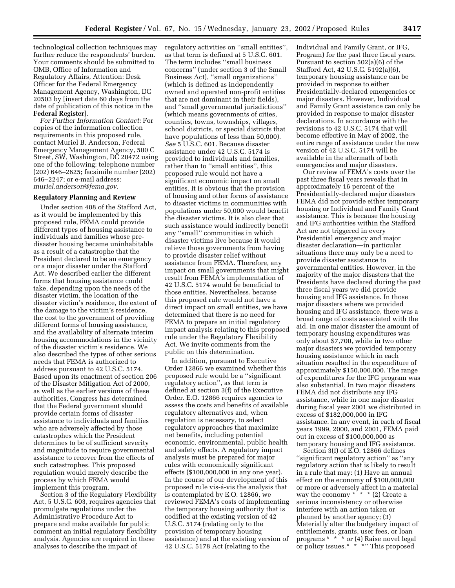technological collection techniques may further reduce the respondents' burden. Your comments should be submitted to OMB, Office of Information and Regulatory Affairs, Attention: Desk Officer for the Federal Emergency Management Agency, Washington, DC 20503 by [insert date 60 days from the date of publication of this notice in the **Federal Register**].

*For Further Information Contact:* For copies of the information collection requirements in this proposed rule, contact Muriel B. Anderson, Federal Emergency Management Agency, 500 C Street, SW, Washington, DC 20472 using one of the following: telephone number (202) 646–2625; facsimile number (202) 646–2247; or e-mail address: *muriel.anderson@fema.gov.*

#### **Regulatory Planning and Review**

Under section 408 of the Stafford Act, as it would be implemented by this proposed rule, FEMA could provide different types of housing assistance to individuals and families whose predisaster housing became uninhabitable as a result of a catastrophe that the President declared to be an emergency or a major disaster under the Stafford Act. We described earlier the different forms that housing assistance could take, depending upon the needs of the disaster victim, the location of the disaster victim's residence, the extent of the damage to the victim's residence, the cost to the government of providing different forms of housing assistance, and the availability of alternate interim housing accommodations in the vicinity of the disaster victim's residence. We also described the types of other serious needs that FEMA is authorized to address pursuant to 42 U.S.C. 5174. Based upon its enactment of section 206 of the Disaster Mitigation Act of 2000, as well as the earlier versions of these authorities, Congress has determined that the Federal government should provide certain forms of disaster assistance to individuals and families who are adversely affected by those catastrophes which the President determines to be of sufficient severity and magnitude to require governmental assistance to recover from the effects of such catastrophes. This proposed regulation would merely describe the process by which FEMA would implement this program.

Section 3 of the Regulatory Flexibility Act, 5 U.S.C. 603, requires agencies that promulgate regulations under the Administrative Procedure Act to prepare and make available for public comment an initial regulatory flexibility analysis. Agencies are required in these analyses to describe the impact of

regulatory activities on ''small entities'', as that term is defined at 5 U.S.C. 601. The term includes ''small business concerns'' (under section 3 of the Small Business Act), ''small organizations'' (which is defined as independently owned and operated non-profit entities that are not dominant in their fields), and ''small governmental jurisdictions'' (which means governments of cities, counties, towns, townships, villages, school districts, or special districts that have populations of less than 50,000). *See* 5 U.S.C. 601. Because disaster assistance under 42 U.S.C. 5174 is provided to individuals and families, rather than to ''small entities'', this proposed rule would not have a significant economic impact on small entities. It is obvious that the provision of housing and other forms of assistance to disaster victims in communities with populations under 50,000 would benefit the disaster victims. It is also clear that such assistance would indirectly benefit any ''small'' communities in which disaster victims live because it would relieve those governments from having to provide disaster relief without assistance from FEMA. Therefore, any impact on small governments that might result from FEMA's implementation of 42 U.S.C. 5174 would be beneficial to those entities. Nevertheless, because this proposed rule would not have a direct impact on small entities, we have determined that there is no need for FEMA to prepare an initial regulatory impact analysis relating to this proposed rule under the Regulatory Flexibility Act. We invite comments from the public on this determination.

In addition, pursuant to Executive Order 12866 we examined whether this proposed rule would be a ''significant regulatory action'', as that term is defined at section 3(f) of the Executive Order. E.O. 12866 requires agencies to assess the costs and benefits of available regulatory alternatives and, when regulation is necessary, to select regulatory approaches that maximize net benefits, including potential economic, environmental, public health and safety effects. A regulatory impact analysis must be prepared for major rules with economically significant effects (\$100,000,000 in any one year). In the course of our development of this proposed rule vis-a´-vis the analysis that is contemplated by E.O. 12866, we reviewed FEMA's costs of implementing the temporary housing authority that is codified at the existing version of 42 U.S.C. 5174 (relating only to the provision of temporary housing assistance) and at the existing version of 42 U.S.C. 5178 Act (relating to the

Individual and Family Grant, or IFG, Program) for the past three fiscal years. Pursuant to section 502(a)(6) of the Stafford Act, 42 U.S.C. 5192(a)(6), temporary housing assistance can be provided in response to either Presidentially-declared emergencies or major disasters. However, Individual and Family Grant assistance can only be provided in response to major disaster declarations. In accordance with the revisions to 42 U.S.C. 5174 that will become effective in May of 2002, the entire range of assistance under the new version of 42 U.S.C. 5174 will be available in the aftermath of both emergencies and major disasters.

Our review of FEMA's costs over the past three fiscal years reveals that in approximately 16 percent of the Presidentially-declared major disasters FEMA did not provide either temporary housing or Individual and Family Grant assistance. This is because the housing and IFG authorities within the Stafford Act are not triggered in every Presidential emergency and major disaster declaration—in particular situations there may only be a need to provide disaster assistance to governmental entities. However, in the majority of the major disasters that the Presidents have declared during the past three fiscal years we did provide housing and IFG assistance. In those major disasters where we provided housing and IFG assistance, there was a broad range of costs associated with the aid. In one major disaster the amount of temporary housing expenditures was only about \$7,700, while in two other major disasters we provided temporary housing assistance which in each situation resulted in the expenditure of approximately \$150,000,000. The range of expenditures for the IFG program was also substantial. In two major disasters FEMA did not distribute any IFG assistance, while in one major disaster during fiscal year 2001 we distributed in excess of \$182,000,000 in IFG assistance. In any event, in each of fiscal years 1999, 2000, and 2001, FEMA paid out in excess of \$100,000,000 as temporary housing and IFG assistance.

Section 3(f) of E.O. 12866 defines ''significant regulatory action'' as ''any regulatory action that is likely to result in a rule that may: (1) Have an annual effect on the economy of \$100,000,000 or more or adversely affect in a material way the economy  $* * * (2)$  Create a serious inconsistency or otherwise interfere with an action taken or planned by another agency; (3) Materially alter the budgetary impact of entitlements, grants, user fees, or loan programs \* \* \* or (4) Raise novel legal or policy issues.\* \* \*'' This proposed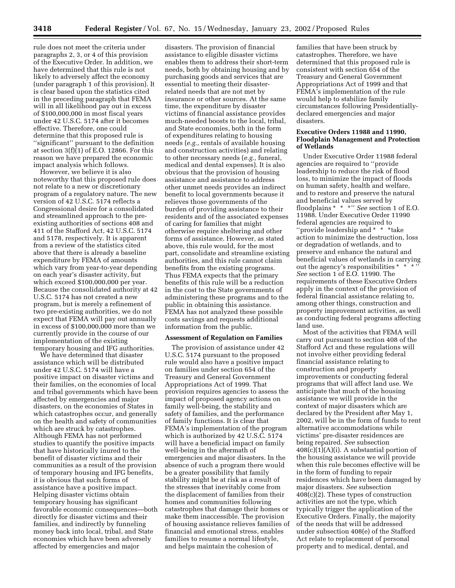rule does not meet the criteria under paragraphs 2, 3, or 4 of this provision of the Executive Order. In addition, we have determined that this rule is not likely to adversely affect the economy (under paragraph 1 of this provision). It is clear based upon the statistics cited in the preceding paragraph that FEMA will in all likelihood pay out in excess of \$100,000,000 in most fiscal years under 42 U.S.C. 5174 after it becomes effective. Therefore, one could determine that this proposed rule is ''significant'' pursuant to the definition at section  $3(f)(1)$  of E.O. 12866. For this reason we have prepared the economic impact analysis which follows.

However, we believe it is also noteworthy that this proposed rule does not relate to a new or discretionary program of a regulatory nature. The new version of 42 U.S.C. 5174 reflects a Congressional desire for a consolidated and streamlined approach to the preexisting authorities of sections 408 and 411 of the Stafford Act, 42 U.S.C. 5174 and 5178, respectively. It is apparent from a review of the statistics cited above that there is already a baseline expenditure by FEMA of amounts which vary from year-to-year depending on each year's disaster activity, but which exceed \$100,000,000 per year. Because the consolidated authority at 42 U.S.C. 5174 has not created a new program, but is merely a refinement of two pre-existing authorities, we do not expect that FEMA will pay out annually in excess of \$100,000,000 more than we currently provide in the course of our implementation of the existing temporary housing and IFG authorities.

We have determined that disaster assistance which will be distributed under 42 U.S.C. 5174 will have a positive impact on disaster victims and their families, on the economies of local and tribal governments which have been affected by emergencies and major disasters, on the economies of States in which catastrophes occur, and generally on the health and safety of communities which are struck by catastrophes. Although FEMA has not performed studies to quantify the positive impacts that have historically inured to the benefit of disaster victims and their communities as a result of the provision of temporary housing and IFG benefits, it is obvious that such forms of assistance have a positive impact. Helping disaster victims obtain temporary housing has significant favorable economic consequences—both directly for disaster victims and their families, and indirectly by funneling money back into local, tribal, and State economies which have been adversely affected by emergencies and major

disasters. The provision of financial assistance to eligible disaster victims enables them to address their short-term needs, both by obtaining housing and by purchasing goods and services that are essential to meeting their disasterrelated needs that are not met by insurance or other sources. At the same time, the expenditure by disaster victims of financial assistance provides much-needed boosts to the local, tribal, and State economies, both in the form of expenditures relating to housing needs (*e.g.,* rentals of available housing and construction activities) and relating to other necessary needs (*e.g.,* funeral, medical and dental expenses). It is also obvious that the provision of housing assistance and assistance to address other unmet needs provides an indirect benefit to local governments because it relieves those governments of the burden of providing assistance to their residents and of the associated expenses of caring for families that might otherwise require sheltering and other forms of assistance. However, as stated above, this rule would, for the most part, consolidate and streamline existing authorities, and this rule cannot claim benefits from the existing programs. Thus FEMA expects that the primary benefits of this rule will be a reduction in the cost to the State governments of administering these programs and to the public in obtaining this assistance. FEMA has not analyzed these possible costs savings and requests additional information from the public.

#### **Assessment of Regulation on Families**

The provision of assistance under 42 U.S.C. 5174 pursuant to the proposed rule would also have a positive impact on families under section 654 of the Treasury and General Government Appropriations Act of 1999. That provision requires agencies to assess the impact of proposed agency actions on family well-being, the stability and safety of families, and the performance of family functions. It is clear that FEMA's implementation of the program which is authorized by 42 U.S.C. 5174 will have a beneficial impact on family well-being in the aftermath of emergencies and major disasters. In the absence of such a program there would be a greater possibility that family stability might be at risk as a result of the stresses that inevitably come from the displacement of families from their homes and communities following catastrophes that damage their homes or make them inaccessible. The provision of housing assistance relieves families of financial and emotional stress, enables families to resume a normal lifestyle, and helps maintain the cohesion of

families that have been struck by catastrophes. Therefore, we have determined that this proposed rule is consistent with section 654 of the Treasury and General Government Appropriations Act of 1999 and that FEMA's implementation of the rule would help to stabilize family circumstances following Presidentiallydeclared emergencies and major disasters.

#### **Executive Orders 11988 and 11990, Floodplain Management and Protection of Wetlands**

Under Executive Order 11988 federal agencies are required to ''provide leadership to reduce the risk of flood loss, to minimize the impact of floods on human safety, health and welfare, and to restore and preserve the natural and beneficial values served by floodplains \* \* \*'' *See* section 1 of E.O. 11988. Under Executive Order 11990 federal agencies are required to ''provide leadership and \* \* \*take action to minimize the destruction, loss or degradation of wetlands, and to preserve and enhance the natural and beneficial values of wetlands in carrying out the agency's responsibilities \* \* *See* section 1 of E.O. 11990. The requirements of these Executive Orders apply in the context of the provision of federal financial assistance relating to, among other things, construction and property improvement activities, as well as conducting federal programs affecting land use.

Most of the activities that FEMA will carry out pursuant to section 408 of the Stafford Act and these regulations will not involve either providing federal financial assistance relating to construction and property improvements or conducting federal programs that will affect land use. We anticipate that much of the housing assistance we will provide in the context of major disasters which are declared by the President after May 1, 2002, will be in the form of funds to rent alternative accommodations while victims' pre-disaster residences are being repaired. *See* subsection  $408(c)(1)(A)(i)$ . A substantial portion of the housing assistance we will provide when this rule becomes effective will be in the form of funding to repair residences which have been damaged by major disasters. *See* subsection 408(c)(2). These types of construction activities are not the type, which typically trigger the application of the Executive Orders. Finally, the majority of the needs that will be addressed under subsection 408(e) of the Stafford Act relate to replacement of personal property and to medical, dental, and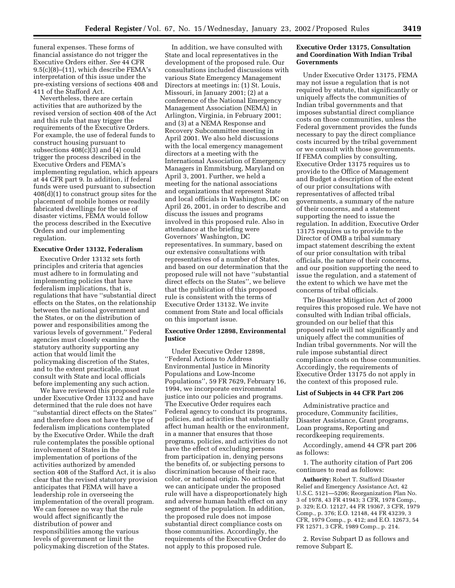funeral expenses. These forms of financial assistance do not trigger the Executive Orders either. *See* 44 CFR 9.5(c)(8)–(11), which describe FEMA's interpretation of this issue under the pre-existing versions of sections 408 and 411 of the Stafford Act.

Nevertheless, there are certain activities that are authorized by the revised version of section 408 of the Act and this rule that may trigger the requirements of the Executive Orders. For example, the use of federal funds to construct housing pursuant to subsections 408(c)(3) and (4) could trigger the process described in the Executive Orders and FEMA's implementing regulation, which appears at 44 CFR part 9. In addition, if federal funds were used pursuant to subsection 408(d)(1) to construct group sites for the placement of mobile homes or readily fabricated dwellings for the use of disaster victims, FEMA would follow the process described in the Executive Orders and our implementing regulation.

#### **Executive Order 13132, Federalism**

Executive Order 13132 sets forth principles and criteria that agencies must adhere to in formulating and implementing policies that have federalism implications, that is, regulations that have ''substantial direct effects on the States, on the relationship between the national government and the States, or on the distribution of power and responsibilities among the various levels of government.'' Federal agencies must closely examine the statutory authority supporting any action that would limit the policymaking discretion of the States, and to the extent practicable, must consult with State and local officials before implementing any such action.

We have reviewed this proposed rule under Executive Order 13132 and have determined that the rule does not have ''substantial direct effects on the States'' and therefore does not have the type of federalism implications contemplated by the Executive Order. While the draft rule contemplates the possible optional involvement of States in the implementation of portions of the activities authorized by amended section 408 of the Stafford Act, it is also clear that the revised statutory provision anticipates that FEMA will have a leadership role in overseeing the implementation of the overall program. We can foresee no way that the rule would affect significantly the distribution of power and responsibilities among the various levels of government or limit the policymaking discretion of the States.

In addition, we have consulted with State and local representatives in the development of the proposed rule. Our consultations included discussions with various State Emergency Management Directors at meetings in: (1) St. Louis, Missouri, in January 2001; (2) at a conference of the National Emergency Management Association (NEMA) in Arlington, Virginia, in February 2001; and (3) at a NEMA Response and Recovery Subcommittee meeting in April 2001. We also held discussions with the local emergency management directors at a meeting with the International Association of Emergency Managers in Emmitsburg, Maryland on April 3, 2001. Further, we held a meeting for the national associations and organizations that represent State and local officials in Washington, DC on April 26, 2001, in order to describe and discuss the issues and programs involved in this proposed rule. Also in attendance at the briefing were Governors' Washington, DC representatives. In summary, based on our extensive consultations with representatives of a number of States, and based on our determination that the proposed rule will not have ''substantial direct effects on the States'', we believe that the publication of this proposed rule is consistent with the terms of Executive Order 13132. We invite comment from State and local officials on this important issue.

#### **Executive Order 12898, Environmental Justice**

Under Executive Order 12898, ''Federal Actions to Address Environmental Justice in Minority Populations and Low-Income Populations'', 59 FR 7629, February 16, 1994, we incorporate environmental justice into our policies and programs. The Executive Order requires each Federal agency to conduct its programs, policies, and activities that substantially affect human health or the environment, in a manner that ensures that those programs, policies, and activities do not have the effect of excluding persons from participation in, denying persons the benefits of, or subjecting persons to discrimination because of their race, color, or national origin. No action that we can anticipate under the proposed rule will have a disproportionately high and adverse human health effect on any segment of the population. In addition, the proposed rule does not impose substantial direct compliance costs on those communities. Accordingly, the requirements of the Executive Order do not apply to this proposed rule.

#### **Executive Order 13175, Consultation and Coordination With Indian Tribal Governments**

Under Executive Order 13175, FEMA may not issue a regulation that is not required by statute, that significantly or uniquely affects the communities of Indian tribal governments and that imposes substantial direct compliance costs on those communities, unless the Federal government provides the funds necessary to pay the direct compliance costs incurred by the tribal government or we consult with those governments. If FEMA complies by consulting, Executive Order 13175 requires us to provide to the Office of Management and Budget a description of the extent of our prior consultations with representatives of affected tribal governments, a summary of the nature of their concerns, and a statement supporting the need to issue the regulation. In addition, Executive Order 13175 requires us to provide to the Director of OMB a tribal summary impact statement describing the extent of our prior consultation with tribal officials, the nature of their concerns, and our position supporting the need to issue the regulation, and a statement of the extent to which we have met the concerns of tribal officials.

The Disaster Mitigation Act of 2000 requires this proposed rule. We have not consulted with Indian tribal officials, grounded on our belief that this proposed rule will not significantly and uniquely affect the communities of Indian tribal governments. Nor will the rule impose substantial direct compliance costs on those communities. Accordingly, the requirements of Executive Order 13175 do not apply in the context of this proposed rule.

#### **List of Subjects in 44 CFR Part 206**

Administrative practice and procedure, Community facilities, Disaster Assistance, Grant programs, Loan programs, Reporting and recordkeeping requirements.

Accordingly, amend 44 CFR part 206 as follows:

1. The authority citation of Part 206 continues to read as follows:

**Authority:** Robert T. Stafford Disaster Relief and Emergency Assistance Act, 42 U.S.C. 5121—5206; Reorganization Plan No. 3 of 1978, 43 FR 41943; 3 CFR, 1978 Comp., p. 329; E.O. 12127, 44 FR 19367, 3 CFR, 1979 Comp., p. 376; E.O. 12148, 44 FR 43239, 3 CFR, 1979 Comp., p. 412; and E.O. 12673, 54 FR 12571, 3 CFR, 1989 Comp., p. 214.

2. Revise Subpart D as follows and remove Subpart E.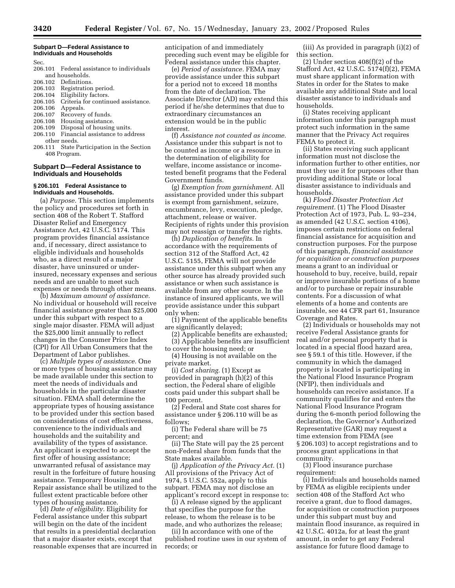#### **Subpart D—Federal Assistance to Individuals and Households**

Sec.

- 206.101 Federal assistance to individuals and households.
- 206.102 Definitions.<br>206.103 Registration
- Registration period.
- 206.104 Eligibility factors.
- 206.105 Criteria for continued assistance.
- 206.106 Appeals.
- 206.107 Recovery of funds.<br>206.108 Housing assistance
- Housing assistance.
- 206.109 Disposal of housing units. 206.110 Financial assistance to address
- other needs.
- 206.111 State Participation in the Section 408 Program.

#### **Subpart D—Federal Assistance to Individuals and Households**

#### **§ 206.101 Federal Assistance to Individuals and Households.**

(a) *Purpose.* This section implements the policy and procedures set forth in section 408 of the Robert T. Stafford Disaster Relief and Emergency Assistance Act, 42 U.S.C. 5174. This program provides financial assistance and, if necessary, direct assistance to eligible individuals and households who, as a direct result of a major disaster, have uninsured or underinsured, necessary expenses and serious needs and are unable to meet such expenses or needs through other means.

(b) *Maximum amount of assistance.* No individual or household will receive financial assistance greater than \$25,000 under this subpart with respect to a single major disaster. FEMA will adjust the \$25,000 limit annually to reflect changes in the Consumer Price Index (CPI) for All Urban Consumers that the Department of Labor publishes.

(c) *Multiple types of assistance.* One or more types of housing assistance may be made available under this section to meet the needs of individuals and households in the particular disaster situation. FEMA shall determine the appropriate types of housing assistance to be provided under this section based on considerations of cost effectiveness, convenience to the individuals and households and the suitability and availability of the types of assistance. An applicant is expected to accept the first offer of housing assistance; unwarranted refusal of assistance may result in the forfeiture of future housing assistance. Temporary Housing and Repair assistance shall be utilized to the fullest extent practicable before other types of housing assistance.

(d) *Date of eligibility.* Eligibility for Federal assistance under this subpart will begin on the date of the incident that results in a presidential declaration that a major disaster exists, except that reasonable expenses that are incurred in anticipation of and immediately preceding such event may be eligible for Federal assistance under this chapter.

(e) *Period of assistance.* FEMA may provide assistance under this subpart for a period not to exceed 18 months from the date of declaration. The Associate Director (AD) may extend this period if he/she determines that due to extraordinary circumstances an extension would be in the public interest.

(f) *Assistance not counted as income.* Assistance under this subpart is not to be counted as income or a resource in the determination of eligibility for welfare, income assistance or incometested benefit programs that the Federal Government funds.

(g) *Exemption from garnishment.* All assistance provided under this subpart is exempt from garnishment, seizure, encumbrance, levy, execution, pledge, attachment, release or waiver. Recipients of rights under this provision may not reassign or transfer the rights.

(h) *Duplication of benefits.* In accordance with the requirements of section 312 of the Stafford Act, 42 U.S.C. 5155, FEMA will not provide assistance under this subpart when any other source has already provided such assistance or when such assistance is available from any other source. In the instance of insured applicants, we will provide assistance under this subpart only when:

(1) Payment of the applicable benefits are significantly delayed;

(2) Applicable benefits are exhausted; (3) Applicable benefits are insufficient to cover the housing need; or

(4) Housing is not available on the private market.

(i) *Cost sharing.* (1) Except as provided in paragraph (h)(2) of this section, the Federal share of eligible costs paid under this subpart shall be 100 percent.

(2) Federal and State cost shares for assistance under § 206.110 will be as follows;

(i) The Federal share will be 75 percent; and

(ii) The State will pay the 25 percent non-Federal share from funds that the State makes available.

(j) *Application of the Privacy Act.* (1) All provisions of the Privacy Act of 1974, 5 U.S.C. 552a, apply to this subpart. FEMA may not disclose an applicant's record except in response to:

(i) A release signed by the applicant that specifies the purpose for the release, to whom the release is to be made, and who authorizes the release;

(ii) In accordance with one of the published routine uses in our system of records; or

(iii) As provided in paragraph (i)(2) of this section.

(2) Under section 408(f)(2) of the Stafford Act, 42 U.S.C. 5174(f)(2), FEMA must share applicant information with States in order for the States to make available any additional State and local disaster assistance to individuals and households.

(i) States receiving applicant information under this paragraph must protect such information in the same manner that the Privacy Act requires FEMA to protect it.

(ii) States receiving such applicant information must not disclose the information further to other entities, nor must they use it for purposes other than providing additional State or local disaster assistance to individuals and households.

(k) *Flood Disaster Protection Act requirement.* (1) The Flood Disaster Protection Act of 1973, Pub. L. 93–234, as amended (42 U.S.C. section 4106), imposes certain restrictions on federal financial assistance for acquisition and construction purposes. For the purpose of this paragraph, *financial assistance for acquisition or construction purposes* means a grant to an individual or household to buy, receive, build, repair or improve insurable portions of a home and/or to purchase or repair insurable contents. For a discussion of what elements of a home and contents are insurable, see 44 CFR part 61, Insurance Coverage and Rates.

(2) Individuals or households may not receive Federal Assistance grants for real and/or personal property that is located in a special flood hazard area, see § 59.1 of this title. However, if the community in which the damaged property is located is participating in the National Flood Insurance Program (NFIP), then individuals and households can receive assistance. If a community qualifies for and enters the National Flood Insurance Program during the 6-month period following the declaration, the Governor's Authorized Representative (GAR) may request a time extension from FEMA (see § 206.103) to accept registrations and to process grant applications in that community.

(3) Flood insurance purchase requirement:

(i) Individuals and households named by FEMA as eligible recipients under section 408 of the Stafford Act who receive a grant, due to flood damages, for acquisition or construction purposes under this subpart must buy and maintain flood insurance, as required in 42 U.S.C. 4012a, for at least the grant amount, in order to get any Federal assistance for future flood damage to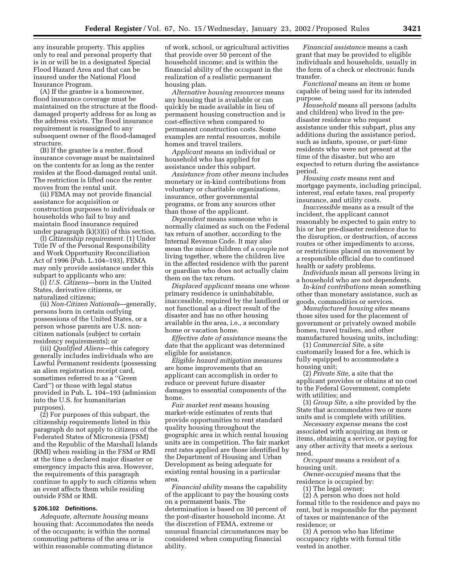any insurable property. This applies only to real and personal property that is in or will be in a designated Special Flood Hazard Area and that can be insured under the National Flood Insurance Program.

(A) If the grantee is a homeowner, flood insurance coverage must be maintained on the structure at the flooddamaged property address for as long as the address exists. The flood insurance requirement is reassigned to any subsequent owner of the flood-damaged structure.

(B) If the grantee is a renter, flood insurance coverage must be maintained on the contents for as long as the renter resides at the flood-damaged rental unit. The restriction is lifted once the renter moves from the rental unit.

(ii) FEMA may not provide financial assistance for acquisition or construction purposes to individuals or households who fail to buy and maintain flood insurance required under paragraph (k)(3)(i) of this section.

(l) *Citizenship requirement.* (1) Under Title IV of the Personal Responsibility and Work Opportunity Reconciliation Act of 1996 (Pub. L.104–193), FEMA may only provide assistance under this subpart to applicants who are:

(i) *U.S. Citizens*—born in the United States, derivative citizens, or naturalized citizens;

(ii) *Non-Citizen Nationals*—generally, persons born in certain outlying possessions of the United States, or a person whose parents are U.S. noncitizen nationals (subject to certain residency requirements); or

(iii) *Qualified Aliens*—this category generally includes individuals who are Lawful Permanent residents (possessing an alien registration receipt card, sometimes referred to as a ''Green Card'') or those with legal status provided in Pub. L. 104–193 (admission into the U.S. for humanitarian purposes).

(2) For purposes of this subpart, the citizenship requirements listed in this paragraph do not apply to citizens of the Federated States of Micronesia (FSM) and the Republic of the Marshall Islands (RMI) when residing in the FSM or RMI at the time a declared major disaster or emergency impacts this area. However, the requirements of this paragraph continue to apply to such citizens when an event affects them while residing outside FSM or RMI.

#### **§ 206.102 Definitions.**

*Adequate, alternate housing* means housing that: Accommodates the needs of the occupants; is within the normal commuting patterns of the area or is within reasonable commuting distance

of work, school, or agricultural activities that provide over 50 percent of the household income; and is within the financial ability of the occupant in the realization of a realistic permanent housing plan.

*Alternative housing resources* means any housing that is available or can quickly be made available in lieu of permanent housing construction and is cost-effective when compared to permanent construction costs. Some examples are rental resources, mobile homes and travel trailers.

*Applicant* means an individual or household who has applied for assistance under this subpart.

*Assistance from other means* includes monetary or in-kind contributions from voluntary or charitable organizations, insurance, other governmental programs, or from any sources other than those of the applicant.

*Dependent* means someone who is normally claimed as such on the Federal tax return of another, according to the Internal Revenue Code. It may also mean the minor children of a couple not living together, where the children live in the affected residence with the parent or guardian who does not actually claim them on the tax return.

*Displaced applicant* means one whose primary residence is uninhabitable, inaccessible, required by the landlord or not functional as a direct result of the disaster and has no other housing available in the area, i.e., a secondary home or vacation home.

*Effective date of assistance* means the date that the applicant was determined eligible for assistance.

*Eligible hazard mitigation measures* are home improvements that an applicant can accomplish in order to reduce or prevent future disaster damages to essential components of the home.

*Fair market rent* means housing market-wide estimates of rents that provide opportunities to rent standard quality housing throughout the geographic area in which rental housing units are in competition. The fair market rent rates applied are those identified by the Department of Housing and Urban Development as being adequate for existing rental housing in a particular area.

*Financial ability* means the capability of the applicant to pay the housing costs on a permanent basis. The determination is based on 30 percent of the post-disaster household income. At the discretion of FEMA, extreme or unusual financial circumstances may be considered when computing financial ability.

*Financial assistance* means a cash grant that may be provided to eligible individuals and households, usually in the form of a check or electronic funds transfer.

*Functional* means an item or home capable of being used for its intended purpose.

*Household* means all persons (adults and children) who lived in the predisaster residence who request assistance under this subpart, plus any additions during the assistance period, such as infants, spouse, or part-time residents who were not present at the time of the disaster, but who are expected to return during the assistance period.

*Housing costs* means rent and mortgage payments, including principal, interest, real estate taxes, real property insurance, and utility costs.

*Inaccessible* means as a result of the incident, the applicant cannot reasonably be expected to gain entry to his or her pre-disaster residence due to the disruption, or destruction, of access routes or other impediments to access, or restrictions placed on movement by a responsible official due to continued health or safety problems.

*Individuals* mean all persons living in a household who are not dependents.

*In-kind contributions* mean something other than monetary assistance, such as goods, commodities or services.

*Manufactured housing sites* means those sites used for the placement of government or privately owned mobile homes, travel trailers, and other manufactured housing units, including:

(1) *Commercial Site,* a site customarily leased for a fee, which is fully equipped to accommodate a housing unit;

(2) *Private Site,* a site that the applicant provides or obtains at no cost to the Federal Government, complete with utilities; and

(3) *Group Site,* a site provided by the State that accommodates two or more units and is complete with utilities.

*Necessary expense* means the cost associated with acquiring an item or items, obtaining a service, or paying for any other activity that meets a serious need.

*Occupant* means a resident of a housing unit.

*Owner-occupied* means that the residence is occupied by:

(1) The legal owner;

(2) A person who does not hold formal title to the residence and pays no rent, but is responsible for the payment of taxes or maintenance of the residence; or

(3) A person who has lifetime occupancy rights with formal title vested in another.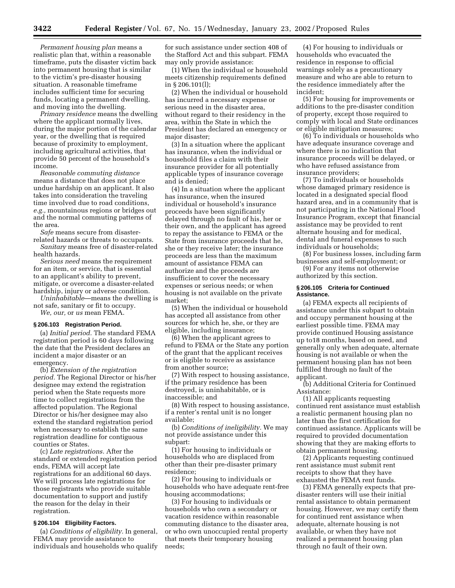*Permanent housing plan* means a realistic plan that, within a reasonable timeframe, puts the disaster victim back into permanent housing that is similar to the victim's pre-disaster housing situation. A reasonable timeframe includes sufficient time for securing funds, locating a permanent dwelling, and moving into the dwelling.

*Primary residence* means the dwelling where the applicant normally lives, during the major portion of the calendar year, or the dwelling that is required because of proximity to employment, including agricultural activities, that provide 50 percent of the household's income.

*Reasonable commuting distance* means a distance that does not place undue hardship on an applicant. It also takes into consideration the traveling time involved due to road conditions, *e.g.,* mountainous regions or bridges out and the normal commuting patterns of the area.

*Safe* means secure from disasterrelated hazards or threats to occupants. *Sanitary* means free of disaster-related

health hazards. *Serious need* means the requirement for an item, or service, that is essential

to an applicant's ability to prevent, mitigate, or overcome a disaster-related hardship, injury or adverse condition.

*Uninhabitable*—means the dwelling is not safe, sanitary or fit to occupy.

### *We, our,* or *us* mean FEMA.

#### **§ 206.103 Registration Period.**

(a) *Initial period.* The standard FEMA registration period is 60 days following the date that the President declares an incident a major disaster or an emergency.

(b) *Extension of the registration period.* The Regional Director or his/her designee may extend the registration period when the State requests more time to collect registrations from the affected population. The Regional Director or his/her designee may also extend the standard registration period when necessary to establish the same registration deadline for contiguous counties or States.

(c) *Late registrations.* After the standard or extended registration period ends, FEMA will accept late registrations for an additional 60 days. We will process late registrations for those registrants who provide suitable documentation to support and justify the reason for the delay in their registration.

#### **§ 206.104 Eligibility Factors.**

(a) *Conditions of eligibility.* In general, FEMA may provide assistance to individuals and households who qualify

for such assistance under section 408 of the Stafford Act and this subpart. FEMA may only provide assistance:

(1) When the individual or household meets citizenship requirements defined in § 206.101(l);

(2) When the individual or household has incurred a necessary expense or serious need in the disaster area, without regard to their residency in the area, within the State in which the President has declared an emergency or major disaster;

(3) In a situation where the applicant has insurance, when the individual or household files a claim with their insurance provider for all potentially applicable types of insurance coverage and is denied;

(4) In a situation where the applicant has insurance, when the insured individual or household's insurance proceeds have been significantly delayed through no fault of his, her or their own, and the applicant has agreed to repay the assistance to FEMA or the State from insurance proceeds that he, she or they receive later; the insurance proceeds are less than the maximum amount of assistance FEMA can authorize and the proceeds are insufficient to cover the necessary expenses or serious needs; or when housing is not available on the private market;

(5) When the individual or household has accepted all assistance from other sources for which he, she, or they are eligible, including insurance;

(6) When the applicant agrees to refund to FEMA or the State any portion of the grant that the applicant receives or is eligible to receive as assistance from another source;

(7) With respect to housing assistance, if the primary residence has been destroyed, is uninhabitable, or is inaccessible; and

(8) With respect to housing assistance, if a renter's rental unit is no longer available;

(b) *Conditions of ineligibility.* We may not provide assistance under this subpart:

(1) For housing to individuals or households who are displaced from other than their pre-disaster primary residence;

(2) For housing to individuals or households who have adequate rent-free housing accommodations;

(3) For housing to individuals or households who own a secondary or vacation residence within reasonable commuting distance to the disaster area, or who own unoccupied rental property that meets their temporary housing needs;

(4) For housing to individuals or households who evacuated the residence in response to official warnings solely as a precautionary measure and who are able to return to the residence immediately after the incident;

(5) For housing for improvements or additions to the pre-disaster condition of property, except those required to comply with local and State ordinances or eligible mitigation measures;

(6) To individuals or households who have adequate insurance coverage and where there is no indication that insurance proceeds will be delayed, or who have refused assistance from insurance providers;

(7) To individuals or households whose damaged primary residence is located in a designated special flood hazard area, and in a community that is not participating in the National Flood Insurance Program, except that financial assistance may be provided to rent alternate housing and for medical, dental and funeral expenses to such individuals or households;

(8) For business losses, including farm businesses and self-employment; or

(9) For any items not otherwise authorized by this section.

#### **§ 206.105 Criteria for Continued Assistance.**

(a) FEMA expects all recipients of assistance under this subpart to obtain and occupy permanent housing at the earliest possible time. FEMA may provide continued Housing assistance up to18 months, based on need, and generally only when adequate, alternate housing is not available or when the permanent housing plan has not been fulfilled through no fault of the applicant.

(b) Additional Criteria for Continued Assistance:

(1) All applicants requesting continued rent assistance must establish a realistic permanent housing plan no later than the first certification for continued assistance. Applicants will be required to provided documentation showing that they are making efforts to obtain permanent housing.

(2) Applicants requesting continued rent assistance must submit rent receipts to show that they have exhausted the FEMA rent funds.

(3) FEMA generally expects that predisaster renters will use their initial rental assistance to obtain permanent housing. However, we may certify them for continued rent assistance when adequate, alternate housing is not available, or when they have not realized a permanent housing plan through no fault of their own.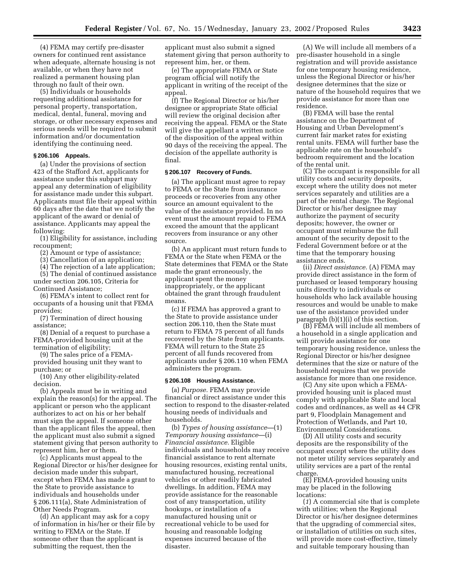(4) FEMA may certify pre-disaster owners for continued rent assistance when adequate, alternate housing is not available, or when they have not realized a permanent housing plan through no fault of their own.

(5) Individuals or households requesting additional assistance for personal property, transportation, medical, dental, funeral, moving and storage, or other necessary expenses and serious needs will be required to submit information and/or documentation identifying the continuing need.

#### **§ 206.106 Appeals.**

(a) Under the provisions of section 423 of the Stafford Act, applicants for assistance under this subpart may appeal any determination of eligibility for assistance made under this subpart. Applicants must file their appeal within 60 days after the date that we notify the applicant of the award or denial of assistance. Applicants may appeal the following:

(1) Eligibility for assistance, including recoupment;

(2) Amount or type of assistance;

(3) Cancellation of an application;

(4) The rejection of a late application; (5) The denial of continued assistance

under section 206.105, Criteria for Continued Assistance;

(6) FEMA's intent to collect rent for occupants of a housing unit that FEMA provides;

(7) Termination of direct housing assistance;

(8) Denial of a request to purchase a FEMA-provided housing unit at the termination of eligibility;

(9) The sales price of a FEMAprovided housing unit they want to purchase; or

(10) Any other eligibility-related decision.

(b) Appeals must be in writing and explain the reason(s) for the appeal. The applicant or person who the applicant authorizes to act on his or her behalf must sign the appeal. If someone other than the applicant files the appeal, then the applicant must also submit a signed statement giving that person authority to represent him, her or them.

(c) Applicants must appeal to the Regional Director or his/her designee for decision made under this subpart, except when FEMA has made a grant to the State to provide assistance to individuals and households under § 206.111(a), State Administration of Other Needs Program.

(d) An applicant may ask for a copy of information in his/her or their file by writing to FEMA or the State. If someone other than the applicant is submitting the request, then the

applicant must also submit a signed statement giving that person authority to represent him, her, or them.

(e) The appropriate FEMA or State program official will notify the applicant in writing of the receipt of the appeal.

(f) The Regional Director or his/her designee or appropriate State official will review the original decision after receiving the appeal. FEMA or the State will give the appellant a written notice of the disposition of the appeal within 90 days of the receiving the appeal. The decision of the appellate authority is final.

#### **§ 206.107 Recovery of Funds.**

(a) The applicant must agree to repay to FEMA or the State from insurance proceeds or recoveries from any other source an amount equivalent to the value of the assistance provided. In no event must the amount repaid to FEMA exceed the amount that the applicant recovers from insurance or any other source.

(b) An applicant must return funds to FEMA or the State when FEMA or the State determines that FEMA or the State made the grant erroneously, the applicant spent the money inappropriately, or the applicant obtained the grant through fraudulent means.

(c) If FEMA has approved a grant to the State to provide assistance under section 206.110, then the State must return to FEMA 75 percent of all funds recovered by the State from applicants. FEMA will return to the State 25 percent of all funds recovered from applicants under § 206.110 when FEMA administers the program.

#### **§ 206.108 Housing Assistance.**

(a) *Purpose.* FEMA may provide financial or direct assistance under this section to respond to the disaster-related housing needs of individuals and households.

(b) *Types of housing assistance—*(1) *Temporary housing assistance*—(i) *Financial assistance.* Eligible individuals and households may receive financial assistance to rent alternate housing resources, existing rental units, manufactured housing, recreational vehicles or other readily fabricated dwellings. In addition, FEMA may provide assistance for the reasonable cost of any transportation, utility hookups, or installation of a manufactured housing unit or recreational vehicle to be used for housing and reasonable lodging expenses incurred because of the disaster.

(A) We will include all members of a pre-disaster household in a single registration and will provide assistance for one temporary housing residence, unless the Regional Director or his/her designee determines that the size or nature of the household requires that we provide assistance for more than one residence.

(B) FEMA will base the rental assistance on the Department of Housing and Urban Development's current fair market rates for existing rental units. FEMA will further base the applicable rate on the household's bedroom requirement and the location of the rental unit.

(C) The occupant is responsible for all utility costs and security deposits, except where the utility does not meter services separately and utilities are a part of the rental charge. The Regional Director or his/her designee may authorize the payment of security deposits; however, the owner or occupant must reimburse the full amount of the security deposit to the Federal Government before or at the time that the temporary housing assistance ends.

(ii) *Direct assistance.* (A) FEMA may provide direct assistance in the form of purchased or leased temporary housing units directly to individuals or households who lack available housing resources and would be unable to make use of the assistance provided under paragraph (b)(1)(i) of this section.

(B) FEMA will include all members of a household in a single application and will provide assistance for one temporary housing residence, unless the Regional Director or his/her designee determines that the size or nature of the household requires that we provide assistance for more than one residence.

(C) Any site upon which a FEMAprovided housing unit is placed must comply with applicable State and local codes and ordinances, as well as 44 CFR part 9, Floodplain Management and Protection of Wetlands, and Part 10, Environmental Considerations.

(D) All utility costs and security deposits are the responsibility of the occupant except where the utility does not meter utility services separately and utility services are a part of the rental charge.

(E) FEMA-provided housing units may be placed in the following locations:

(*1*) A commercial site that is complete with utilities; when the Regional Director or his/her designee determines that the upgrading of commercial sites, or installation of utilities on such sites, will provide more cost-effective, timely and suitable temporary housing than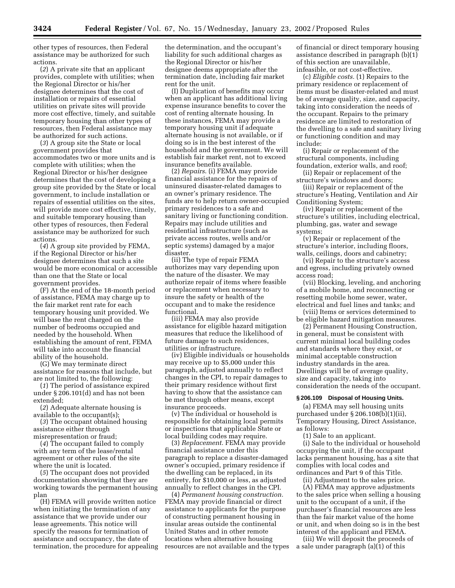other types of resources, then Federal assistance may be authorized for such actions.

(*2*) A private site that an applicant provides, complete with utilities; when the Regional Director or his/her designee determines that the cost of installation or repairs of essential utilities on private sites will provide more cost effective, timely, and suitable temporary housing than other types of resources, then Federal assistance may be authorized for such actions.

(*3*) A group site the State or local government provides that accommodates two or more units and is complete with utilities; when the Regional Director or his/her designee determines that the cost of developing a group site provided by the State or local government, to include installation or repairs of essential utilities on the sites, will provide more cost effective, timely, and suitable temporary housing than other types of resources, then Federal assistance may be authorized for such actions.

(*4*) A group site provided by FEMA, if the Regional Director or his/her designee determines that such a site would be more economical or accessible than one that the State or local government provides.

(F) At the end of the 18-month period of assistance, FEMA may charge up to the fair market rent rate for each temporary housing unit provided. We will base the rent charged on the number of bedrooms occupied and needed by the household. When establishing the amount of rent, FEMA will take into account the financial ability of the household.

(G) We may terminate direct assistance for reasons that include, but are not limited to, the following:

(*1*) The period of assistance expired under § 206.101(d) and has not been extended;

(*2*) Adequate alternate housing is available to the occupant(s);

(*3*) The occupant obtained housing assistance either through misrepresentation or fraud;

(*4*) The occupant failed to comply with any term of the lease/rental agreement or other rules of the site where the unit is located.

(*5*) The occupant does not provided documentation showing that they are working towards the permanent housing plan

(H) FEMA will provide written notice when initiating the termination of any assistance that we provide under our lease agreements. This notice will specify the reasons for termination of assistance and occupancy, the date of termination, the procedure for appealing

the determination, and the occupant's liability for such additional charges as the Regional Director or his/her designee deems appropriate after the termination date, including fair market rent for the unit.

(I) Duplication of benefits may occur when an applicant has additional living expense insurance benefits to cover the cost of renting alternate housing. In these instances, FEMA may provide a temporary housing unit if adequate alternate housing is not available, or if doing so is in the best interest of the household and the government. We will establish fair market rent, not to exceed insurance benefits available.

(2) *Repairs*. (i) FEMA may provide financial assistance for the repairs of uninsured disaster-related damages to an owner's primary residence. The funds are to help return owner-occupied primary residences to a safe and sanitary living or functioning condition. Repairs may include utilities and residential infrastructure (such as private access routes, wells and/or septic systems) damaged by a major disaster.

(ii) The type of repair FEMA authorizes may vary depending upon the nature of the disaster. We may authorize repair of items where feasible or replacement when necessary to insure the safety or health of the occupant and to make the residence functional.

(iii) FEMA may also provide assistance for eligible hazard mitigation measures that reduce the likelihood of future damage to such residences, utilities or infrastructure.

(iv) Eligible individuals or households may receive up to \$5,000 under this paragraph, adjusted annually to reflect changes in the CPI, to repair damages to their primary residence without first having to show that the assistance can be met through other means, except insurance proceeds.

(v) The individual or household is responsible for obtaining local permits or inspections that applicable State or local building codes may require.

(3) *Replacement.* FEMA may provide financial assistance under this paragraph to replace a disaster-damaged owner's occupied, primary residence if the dwelling can be replaced, in its entirety, for \$10,000 or less, as adjusted annually to reflect changes in the CPI.

(4) *Permanent housing construction.* FEMA may provide financial or direct assistance to applicants for the purpose of constructing permanent housing in insular areas outside the continental United States and in other remote locations when alternative housing resources are not available and the types

of financial or direct temporary housing assistance described in paragraph (b)(1) of this section are unavailable, infeasible, or not cost-effective.

(c) *Eligible costs.* (1) Repairs to the primary residence or replacement of items must be disaster-related and must be of average quality, size, and capacity, taking into consideration the needs of the occupant. Repairs to the primary residence are limited to restoration of the dwelling to a safe and sanitary living or functioning condition and may include:

(i) Repair or replacement of the structural components, including foundation, exterior walls, and roof;

(ii) Repair or replacement of the structure's windows and doors;

(iii) Repair or replacement of the structure's Heating, Ventilation and Air Conditioning System;

(iv) Repair or replacement of the structure's utilities, including electrical, plumbing, gas, water and sewage systems;

(v) Repair or replacement of the structure's interior, including floors, walls, ceilings, doors and cabinetry;

(vi) Repair to the structure's access and egress, including privately owned access road;

(vii) Blocking, leveling, and anchoring of a mobile home, and reconnecting or resetting mobile home sewer, water, electrical and fuel lines and tanks; and

(viii) Items or services determined to be eligible hazard mitigation measures.

(2) Permanent Housing Construction, in general, must be consistent with current minimal local building codes and standards where they exist, or minimal acceptable construction industry standards in the area. Dwellings will be of average quality, size and capacity, taking into consideration the needs of the occupant.

#### **§ 206.109 Disposal of Housing Units.**

(a) FEMA may sell housing units purchased under § 206.108(b)(1)(ii), Temporary Housing, Direct Assistance, as follows:

(1) Sale to an applicant.

(i) Sale to the individual or household occupying the unit, if the occupant lacks permanent housing, has a site that complies with local codes and ordinances and Part 9 of this Title.

(ii) Adjustment to the sales price.

(A) FEMA may approve adjustments to the sales price when selling a housing unit to the occupant of a unit, if the purchaser's financial resources are less than the fair market value of the home or unit, and when doing so is in the best interest of the applicant and FEMA.

(iii) We will deposit the proceeds of a sale under paragraph (a)(1) of this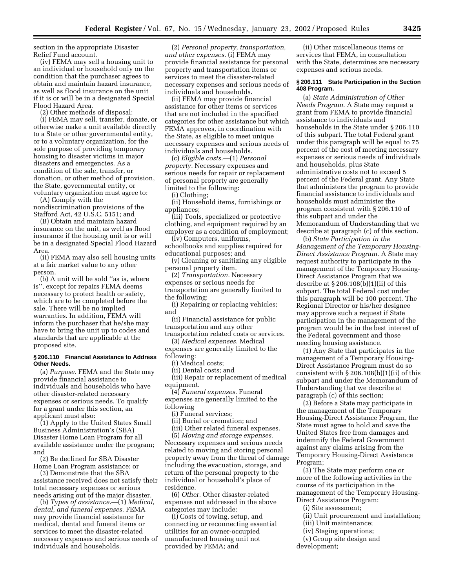section in the appropriate Disaster Relief Fund account.

(iv) FEMA may sell a housing unit to an individual or household only on the condition that the purchaser agrees to obtain and maintain hazard insurance, as well as flood insurance on the unit if it is or will be in a designated Special Flood Hazard Area.

(2) Other methods of disposal:

(i) FEMA may sell, transfer, donate, or otherwise make a unit available directly to a State or other governmental entity, or to a voluntary organization, for the sole purpose of providing temporary housing to disaster victims in major disasters and emergencies. As a condition of the sale, transfer, or donation, or other method of provision, the State, governmental entity, or voluntary organization must agree to:

(A) Comply with the nondiscrimination provisions of the Stafford Act, 42 U.S.C. 5151; and

(B) Obtain and maintain hazard insurance on the unit, as well as flood insurance if the housing unit is or will be in a designated Special Flood Hazard Area.

(ii) FEMA may also sell housing units at a fair market value to any other person.

(b) A unit will be sold ''as is, where is'', except for repairs FEMA deems necessary to protect health or safety, which are to be completed before the sale. There will be no implied warranties. In addition, FEMA will inform the purchaser that he/she may have to bring the unit up to codes and standards that are applicable at the proposed site.

#### **§ 206.110 Financial Assistance to Address Other Needs.**

(a) *Purpose.* FEMA and the State may provide financial assistance to individuals and households who have other disaster-related necessary expenses or serious needs. To qualify for a grant under this section, an applicant must also:

(1) Apply to the United States Small Business Administration's (SBA) Disaster Home Loan Program for all available assistance under the program; and

(2) Be declined for SBA Disaster Home Loan Program assistance; or

(3) Demonstrate that the SBA assistance received does not satisfy their total necessary expenses or serious needs arising out of the major disaster.

(b) *Types of assistance.*—(1) *Medical, dental, and funeral expenses.* FEMA may provide financial assistance for medical, dental and funeral items or services to meet the disaster-related necessary expenses and serious needs of individuals and households.

(2) *Personal property, transportation, and other expenses.* (i) FEMA may provide financial assistance for personal property and transportation items or services to meet the disaster-related necessary expenses and serious needs of individuals and households.

(ii) FEMA may provide financial assistance for other items or services that are not included in the specified categories for other assistance but which FEMA approves, in coordination with the State, as eligible to meet unique necessary expenses and serious needs of individuals and households.

(c) *Eligible costs.—*(1) *Personal property.* Necessary expenses and serious needs for repair or replacement of personal property are generally limited to the following:

(i) Clothing;

(ii) Household items, furnishings or appliances;

(iii) Tools, specialized or protective clothing, and equipment required by an employer as a condition of employment;

(iv) Computers, uniforms, schoolbooks and supplies required for educational purposes; and

(v) Cleaning or sanitizing any eligible personal property item.

(2) *Transportation.* Necessary expenses or serious needs for transportation are generally limited to the following:

(i) Repairing or replacing vehicles; and

(ii) Financial assistance for public transportation and any other

transportation related costs or services. (3) *Medical expenses.* Medical

expenses are generally limited to the following:

(i) Medical costs;

(ii) Dental costs; and

(iii) Repair or replacement of medical equipment.

(4) *Funeral expenses.* Funeral expenses are generally limited to the following

(i) Funeral services;

(ii) Burial or cremation; and

(iii) Other related funeral expenses.

(5) *Moving and storage expenses.* Necessary expenses and serious needs related to moving and storing personal property away from the threat of damage including the evacuation, storage, and return of the personal property to the individual or household's place of residence.

(6) *Other.* Other disaster-related expenses not addressed in the above categories may include:

(i) Costs of towing, setup, and connecting or reconnecting essential utilities for an owner-occupied manufactured housing unit not provided by FEMA; and

(ii) Other miscellaneous items or services that FEMA, in consultation with the State, determines are necessary expenses and serious needs.

#### **§ 206.111 State Participation in the Section 408 Program.**

(a) *State Administration of Other Needs Program.* A State may request a grant from FEMA to provide financial assistance to individuals and households in the State under § 206.110 of this subpart. The total Federal grant under this paragraph will be equal to 75 percent of the cost of meeting necessary expenses or serious needs of individuals and households, plus State administrative costs not to exceed 5 percent of the Federal grant. Any State that administers the program to provide financial assistance to individuals and households must administer the program consistent with § 206.110 of this subpart and under the Memorandum of Understanding that we describe at paragraph (c) of this section.

(b) *State Participation in the Management of the Temporary Housing-Direct Assistance Program.* A State may request authority to participate in the management of the Temporary Housing-Direct Assistance Program that we describe at  $\S 206.108(b)(1)(ii)$  of this subpart. The total Federal cost under this paragraph will be 100 percent. The Regional Director or his/her designee may approve such a request if State participation in the management of the program would be in the best interest of the Federal government and those needing housing assistance.

(1) Any State that participates in the management of a Temporary Housing-Direct Assistance Program must do so consistent with  $\S 206.108(b)(1)(ii)$  of this subpart and under the Memorandum of Understanding that we describe at paragraph (c) of this section;

(2) Before a State may participate in the management of the Temporary Housing-Direct Assistance Program, the State must agree to hold and save the United States free from damages and indemnify the Federal Government against any claims arising from the Temporary Housing-Direct Assistance Program;

(3) The State may perform one or more of the following activities in the course of its participation in the management of the Temporary Housing-Direct Assistance Program:

(i) Site assessment;

- (ii) Unit procurement and installation;
- (iii) Unit maintenance;
- (iv) Staging operations;

(v) Group site design and

development;